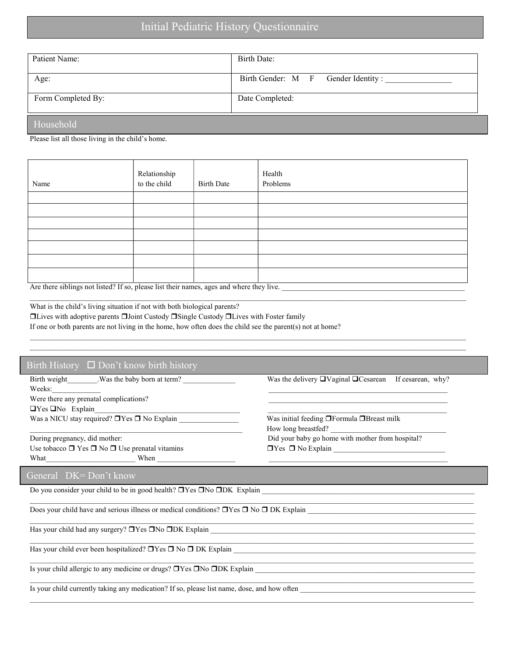| Patient Name:      | Birth Date:                        |
|--------------------|------------------------------------|
| Age:               | Birth Gender: M F Gender Identity: |
| Form Completed By: | Date Completed:                    |
| Household          |                                    |

Please list all those living in the child's home.

| Name                                                                                                                      | Relationship<br>to the child | <b>Birth Date</b> | Health<br>Problems |  |  |  |
|---------------------------------------------------------------------------------------------------------------------------|------------------------------|-------------------|--------------------|--|--|--|
|                                                                                                                           |                              |                   |                    |  |  |  |
|                                                                                                                           |                              |                   |                    |  |  |  |
|                                                                                                                           |                              |                   |                    |  |  |  |
|                                                                                                                           |                              |                   |                    |  |  |  |
|                                                                                                                           |                              |                   |                    |  |  |  |
|                                                                                                                           |                              |                   |                    |  |  |  |
|                                                                                                                           |                              |                   |                    |  |  |  |
| A set the set of left seems of $11.44 \pm 40.10$ and set of set of the theory and set of second continuous theory $11.44$ |                              |                   |                    |  |  |  |

 $\mathcal{L}_\mathcal{L} = \mathcal{L}_\mathcal{L} = \mathcal{L}_\mathcal{L} = \mathcal{L}_\mathcal{L} = \mathcal{L}_\mathcal{L} = \mathcal{L}_\mathcal{L} = \mathcal{L}_\mathcal{L} = \mathcal{L}_\mathcal{L} = \mathcal{L}_\mathcal{L} = \mathcal{L}_\mathcal{L} = \mathcal{L}_\mathcal{L} = \mathcal{L}_\mathcal{L} = \mathcal{L}_\mathcal{L} = \mathcal{L}_\mathcal{L} = \mathcal{L}_\mathcal{L} = \mathcal{L}_\mathcal{L} = \mathcal{L}_\mathcal{L}$ 

 $\mathcal{L} = \{ \mathcal{L} = \{ \mathcal{L} = \{ \mathcal{L} = \{ \mathcal{L} = \{ \mathcal{L} = \{ \mathcal{L} = \{ \mathcal{L} = \{ \mathcal{L} = \{ \mathcal{L} = \{ \mathcal{L} = \{ \mathcal{L} = \{ \mathcal{L} = \{ \mathcal{L} = \{ \mathcal{L} = \{ \mathcal{L} = \{ \mathcal{L} = \{ \mathcal{L} = \{ \mathcal{L} = \{ \mathcal{L} = \{ \mathcal{L} = \{ \mathcal{L} = \{ \mathcal{L} = \{ \mathcal{L} = \{ \mathcal{$ 

 $\_$  ,  $\_$  ,  $\_$  ,  $\_$  ,  $\_$  ,  $\_$  ,  $\_$  ,  $\_$  ,  $\_$  ,  $\_$  ,  $\_$  ,  $\_$  ,  $\_$  ,  $\_$  ,  $\_$  ,  $\_$  ,  $\_$  ,  $\_$  ,  $\_$  ,  $\_$  ,  $\_$  ,  $\_$  ,  $\_$  ,  $\_$  ,  $\_$  ,  $\_$  ,  $\_$  ,  $\_$  ,  $\_$  ,  $\_$  ,  $\_$  ,  $\_$  ,  $\_$  ,  $\_$  ,  $\_$  ,  $\_$  ,  $\_$  ,

 $\mathcal{L} = \{ \mathcal{L} = \{ \mathcal{L} = \{ \mathcal{L} = \{ \mathcal{L} = \{ \mathcal{L} = \{ \mathcal{L} = \{ \mathcal{L} = \{ \mathcal{L} = \{ \mathcal{L} = \{ \mathcal{L} = \{ \mathcal{L} = \{ \mathcal{L} = \{ \mathcal{L} = \{ \mathcal{L} = \{ \mathcal{L} = \{ \mathcal{L} = \{ \mathcal{L} = \{ \mathcal{L} = \{ \mathcal{L} = \{ \mathcal{L} = \{ \mathcal{L} = \{ \mathcal{L} = \{ \mathcal{L} = \{ \mathcal{$ 

Are there siblings not listed? If so, please list their names, ages and where they live.

What is the child's living situation if not with both biological parents?

Lives with adoptive parents Joint Custody Single Custody Lives with Foster family

If one or both parents are not living in the home, how often does the child see the parent(s) not at home?

## Birth History □ Don't know birth history

 $\rm{Weeks:}$ Were there any prenatal complications?  $\Box$  Yes  $\Box$  No Explain Was a NICU stay required?  $\Box$  Yes  $\Box$  No Explain \_\_\_\_\_\_\_\_\_\_\_\_\_\_\_\_\_\_\_\_\_\_\_ Was initial feeding  $\Box$  Formula  $\Box$  Breast milk

Use tobacco  $\Box$  Yes  $\Box$  No  $\Box$  Use prenatal vitamins  $\Box$  Yes  $\Box$  No Explain What the state of the state of the state of the state of the state of the state of the state of the state of the state of the state of the state of the state of the state of the state of the state of the state of the state

General DK= Don't know

Do you consider your child to be in good health?  $\Box$  Yes  $\Box$  No  $\Box$  DK Explain \_

Does your child have and serious illness or medical conditions?  $\Box$  Yes  $\Box$  No  $\Box$  DK Explain

Has your child had any surgery?  $\Box$  Yes  $\Box$  No  $\Box$  DK Explain

Has your child ever been hospitalized?  $\Box$  Yes  $\Box$  No  $\Box$  DK Explain

Is your child allergic to any medicine or drugs?  $\Box$  Yes  $\Box$  No  $\Box$  DK Explain  $\_$ 

Is your child currently taking any medication? If so, please list name, dose, and how often

Birth weight Was the baby born at term? Was the delivery UVaginal UCesarean If cesarean, why?

How long breastfed? During pregnancy, did mother: Did your baby go home with mother from hospital?